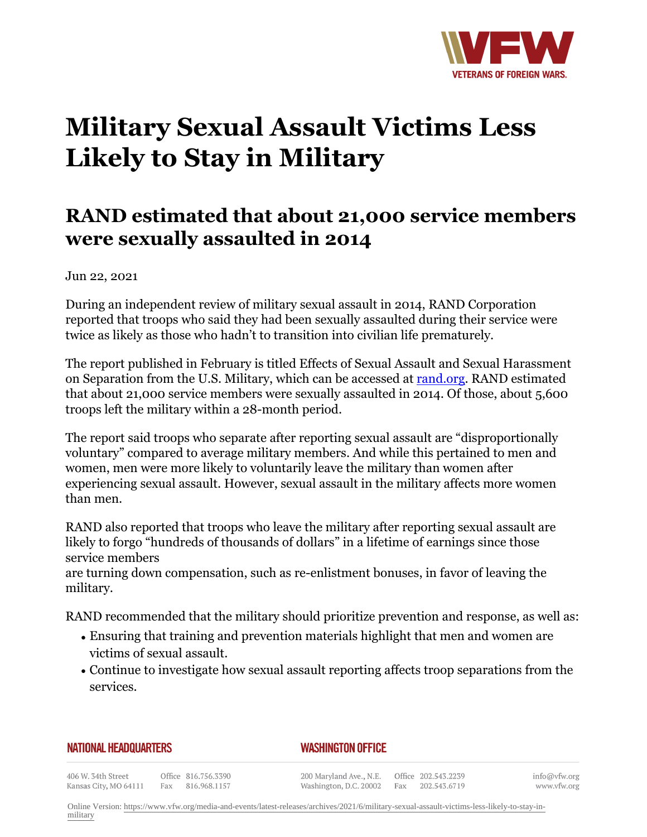

## **Military Sexual Assault Victims Less Likely to Stay in Military**

## **RAND estimated that about 21,000 service members were sexually assaulted in 2014**

Jun 22, 2021

During an independent review of military sexual assault in 2014, RAND Corporation reported that troops who said they had been sexually assaulted during their service were twice as likely as those who hadn't to transition into civilian life prematurely.

The report published in February is titled Effects of Sexual Assault and Sexual Harassment on Separation from the U.S. Military, which can be accessed at [rand.org](http:http://www.rand.org). RAND estimated that about 21,000 service members were sexually assaulted in 2014. Of those, about 5,600 troops left the military within a 28-month period.

The report said troops who separate after reporting sexual assault are "disproportionally voluntary" compared to average military members. And while this pertained to men and women, men were more likely to voluntarily leave the military than women after experiencing sexual assault. However, sexual assault in the military affects more women than men.

RAND also reported that troops who leave the military after reporting sexual assault are likely to forgo "hundreds of thousands of dollars" in a lifetime of earnings since those service members

are turning down compensation, such as re-enlistment bonuses, in favor of leaving the military.

RAND recommended that the military should prioritize prevention and response, as well as:

- $\bullet$  Ensuring that training and prevention materials highlight that men and women are victims of sexual assault.
- Continue to investigate how sexual assault reporting affects troop separations from the services.

## **NATIONAL HEADQUARTERS**

## *WASHINGTON OFFICE*

406 W. 34th Street Kansas City, MO 64111

Office 816.756.3390 Fax 816.968.1157

200 Maryland Ave., N.E. Washington, D.C. 20002

Office 202.543.2239 Fax 202.543.6719 info@vfw.org www.vfw.org